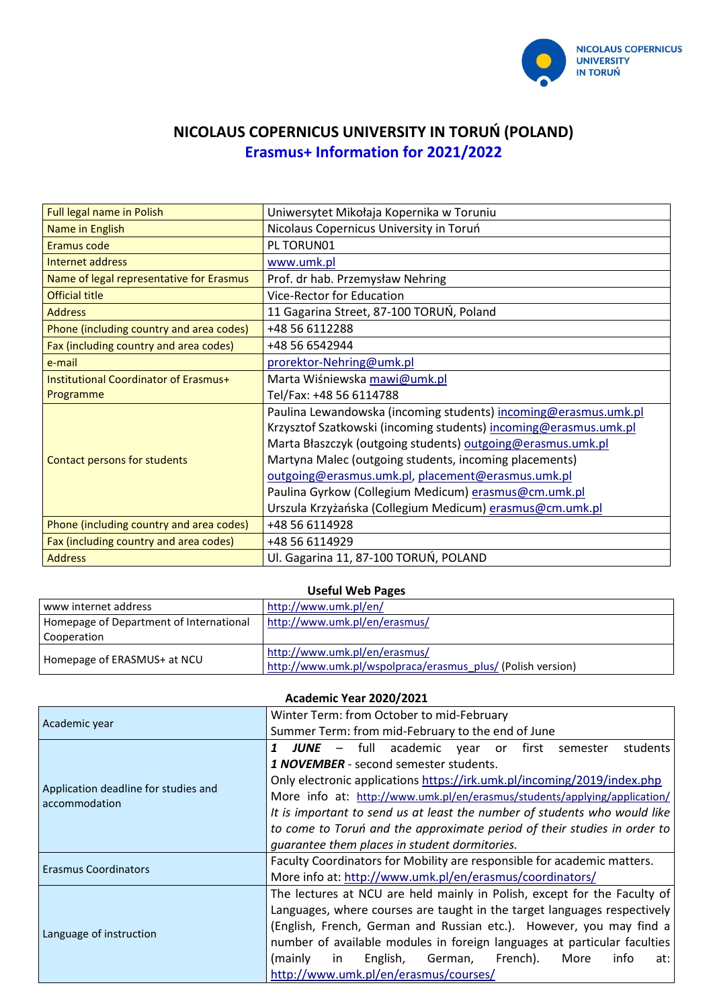

## **NICOLAUS COPERNICUS UNIVERSITY IN TORUŃ (POLAND) Erasmus+ Information for 2021/2022**

| Full legal name in Polish                    | Uniwersytet Mikołaja Kopernika w Toruniu                         |
|----------------------------------------------|------------------------------------------------------------------|
| Name in English                              | Nicolaus Copernicus University in Toruń                          |
| Eramus code                                  | PL TORUN01                                                       |
| Internet address                             | www.umk.pl                                                       |
| Name of legal representative for Erasmus     | Prof. dr hab. Przemysław Nehring                                 |
| <b>Official title</b>                        | <b>Vice-Rector for Education</b>                                 |
| <b>Address</b>                               | 11 Gagarina Street, 87-100 TORUN, Poland                         |
| Phone (including country and area codes)     | +48 56 6112288                                                   |
| Fax (including country and area codes)       | +48 56 6542944                                                   |
| e-mail                                       | prorektor-Nehring@umk.pl                                         |
| <b>Institutional Coordinator of Erasmus+</b> | Marta Wiśniewska mawi@umk.pl                                     |
| Programme                                    | Tel/Fax: +48 56 6114788                                          |
|                                              | Paulina Lewandowska (incoming students) incoming@erasmus.umk.pl  |
|                                              | Krzysztof Szatkowski (incoming students) incoming@erasmus.umk.pl |
|                                              | Marta Błaszczyk (outgoing students) outgoing@erasmus.umk.pl      |
| Contact persons for students                 | Martyna Malec (outgoing students, incoming placements)           |
|                                              | outgoing@erasmus.umk.pl, placement@erasmus.umk.pl                |
|                                              | Paulina Gyrkow (Collegium Medicum) erasmus@cm.umk.pl             |
|                                              | Urszula Krzyżańska (Collegium Medicum) erasmus@cm.umk.pl         |
| Phone (including country and area codes)     | +48 56 6114928                                                   |
| Fax (including country and area codes)       | +48 56 6114929                                                   |
| <b>Address</b>                               | Ul. Gagarina 11, 87-100 TORUŃ, POLAND                            |

## **Useful Web Pages**

| www internet address                    | http://www.umk.pl/en/                                                                        |
|-----------------------------------------|----------------------------------------------------------------------------------------------|
| Homepage of Department of International | http://www.umk.pl/en/erasmus/                                                                |
| Cooperation                             |                                                                                              |
| Homepage of ERASMUS+ at NCU             | http://www.umk.pl/en/erasmus/<br>http://www.umk.pl/wspolpraca/erasmus_plus/ (Polish version) |

## **Academic Year 2020/2021**

| Academic year                                         | Winter Term: from October to mid-February                                                                    |
|-------------------------------------------------------|--------------------------------------------------------------------------------------------------------------|
|                                                       | Summer Term: from mid-February to the end of June                                                            |
| Application deadline for studies and<br>accommodation | full<br>academic year<br>first<br>students<br><b>JUNE</b><br>$\overline{\phantom{m}}$<br>1<br>or<br>semester |
|                                                       | <b>1 NOVEMBER</b> - second semester students.                                                                |
|                                                       | Only electronic applications https://irk.umk.pl/incoming/2019/index.php                                      |
|                                                       | More info at: http://www.umk.pl/en/erasmus/students/applying/application/                                    |
|                                                       | It is important to send us at least the number of students who would like                                    |
|                                                       | to come to Toruń and the approximate period of their studies in order to                                     |
|                                                       | guarantee them places in student dormitories.                                                                |
| <b>Erasmus Coordinators</b>                           | Faculty Coordinators for Mobility are responsible for academic matters.                                      |
|                                                       | More info at: http://www.umk.pl/en/erasmus/coordinators/                                                     |
| Language of instruction                               | The lectures at NCU are held mainly in Polish, except for the Faculty of                                     |
|                                                       | Languages, where courses are taught in the target languages respectively                                     |
|                                                       | (English, French, German and Russian etc.). However, you may find a                                          |
|                                                       | number of available modules in foreign languages at particular faculties                                     |
|                                                       | English,<br>French).<br>info<br>(mainly<br>German,<br>More<br>at:<br>in.                                     |
|                                                       | http://www.umk.pl/en/erasmus/courses/                                                                        |